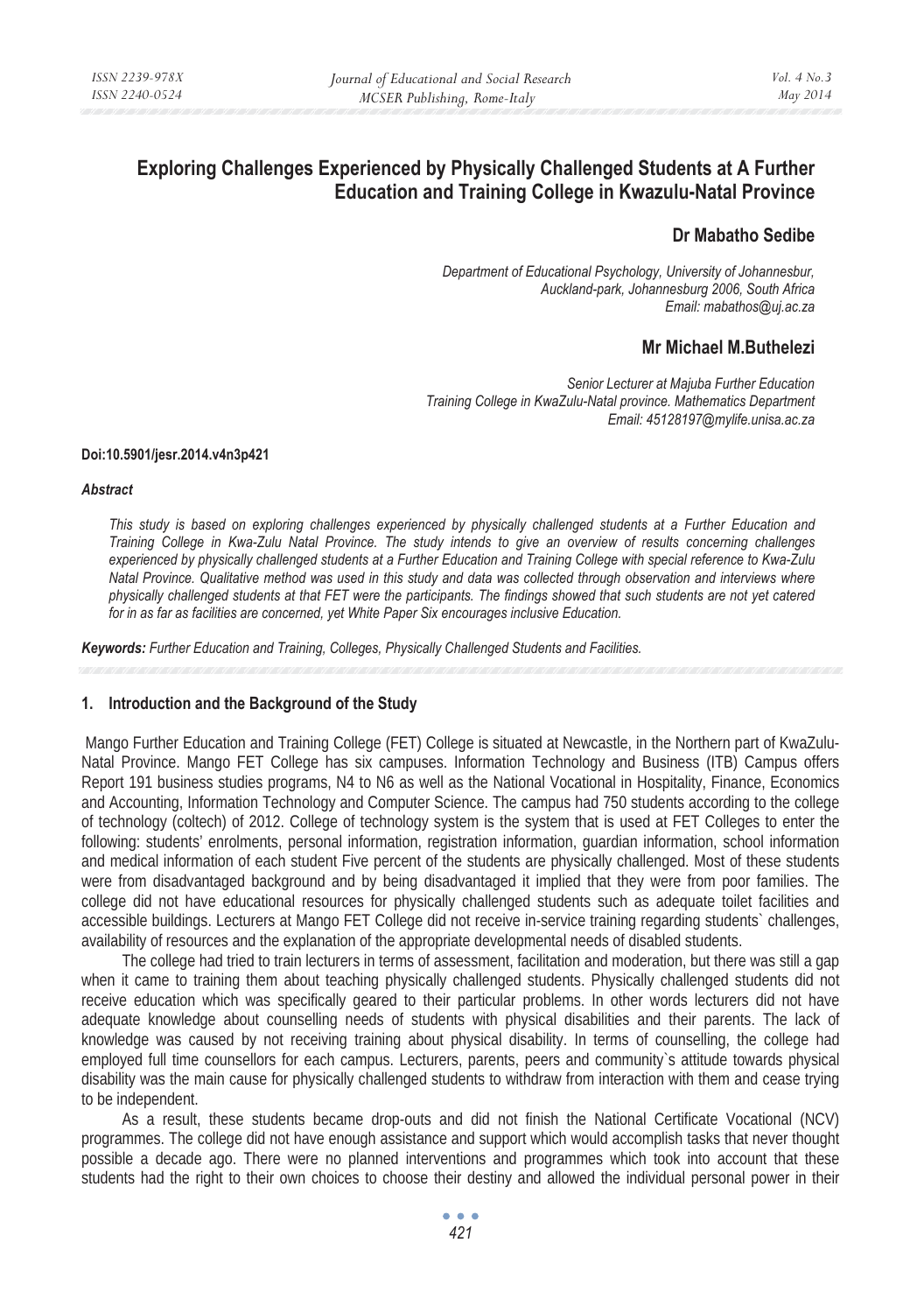# **Exploring Challenges Experienced by Physically Challenged Students at A Further Education and Training College in Kwazulu-Natal Province**

# **Dr Mabatho Sedibe**

*Department of Educational Psychology, University of Johannesbur, Auckland-park, Johannesburg 2006, South Africa Email: mabathos@uj.ac.za* 

# **Mr Michael M.Buthelezi**

*Senior Lecturer at Majuba Further Education Training College in KwaZulu-Natal province. Mathematics Department Email: 45128197@mylife.unisa.ac.za* 

#### **Doi:10.5901/jesr.2014.v4n3p421**

#### *Abstract*

*This study is based on exploring challenges experienced by physically challenged students at a Further Education and Training College in Kwa-Zulu Natal Province. The study intends to give an overview of results concerning challenges experienced by physically challenged students at a Further Education and Training College with special reference to Kwa-Zulu Natal Province. Qualitative method was used in this study and data was collected through observation and interviews where physically challenged students at that FET were the participants. The findings showed that such students are not yet catered for in as far as facilities are concerned, yet White Paper Six encourages inclusive Education.* 

*Keywords: Further Education and Training, Colleges, Physically Challenged Students and Facilities.* 

### **1. Introduction and the Background of the Study**

 Mango Further Education and Training College (FET) College is situated at Newcastle, in the Northern part of KwaZulu-Natal Province. Mango FET College has six campuses. Information Technology and Business (ITB) Campus offers Report 191 business studies programs, N4 to N6 as well as the National Vocational in Hospitality, Finance, Economics and Accounting, Information Technology and Computer Science. The campus had 750 students according to the college of technology (coltech) of 2012. College of technology system is the system that is used at FET Colleges to enter the following: students' enrolments, personal information, registration information, guardian information, school information and medical information of each student Five percent of the students are physically challenged. Most of these students were from disadvantaged background and by being disadvantaged it implied that they were from poor families. The college did not have educational resources for physically challenged students such as adequate toilet facilities and accessible buildings. Lecturers at Mango FET College did not receive in-service training regarding students` challenges, availability of resources and the explanation of the appropriate developmental needs of disabled students.

The college had tried to train lecturers in terms of assessment, facilitation and moderation, but there was still a gap when it came to training them about teaching physically challenged students. Physically challenged students did not receive education which was specifically geared to their particular problems. In other words lecturers did not have adequate knowledge about counselling needs of students with physical disabilities and their parents. The lack of knowledge was caused by not receiving training about physical disability. In terms of counselling, the college had employed full time counsellors for each campus. Lecturers, parents, peers and community`s attitude towards physical disability was the main cause for physically challenged students to withdraw from interaction with them and cease trying to be independent.

As a result, these students became drop-outs and did not finish the National Certificate Vocational (NCV) programmes. The college did not have enough assistance and support which would accomplish tasks that never thought possible a decade ago. There were no planned interventions and programmes which took into account that these students had the right to their own choices to choose their destiny and allowed the individual personal power in their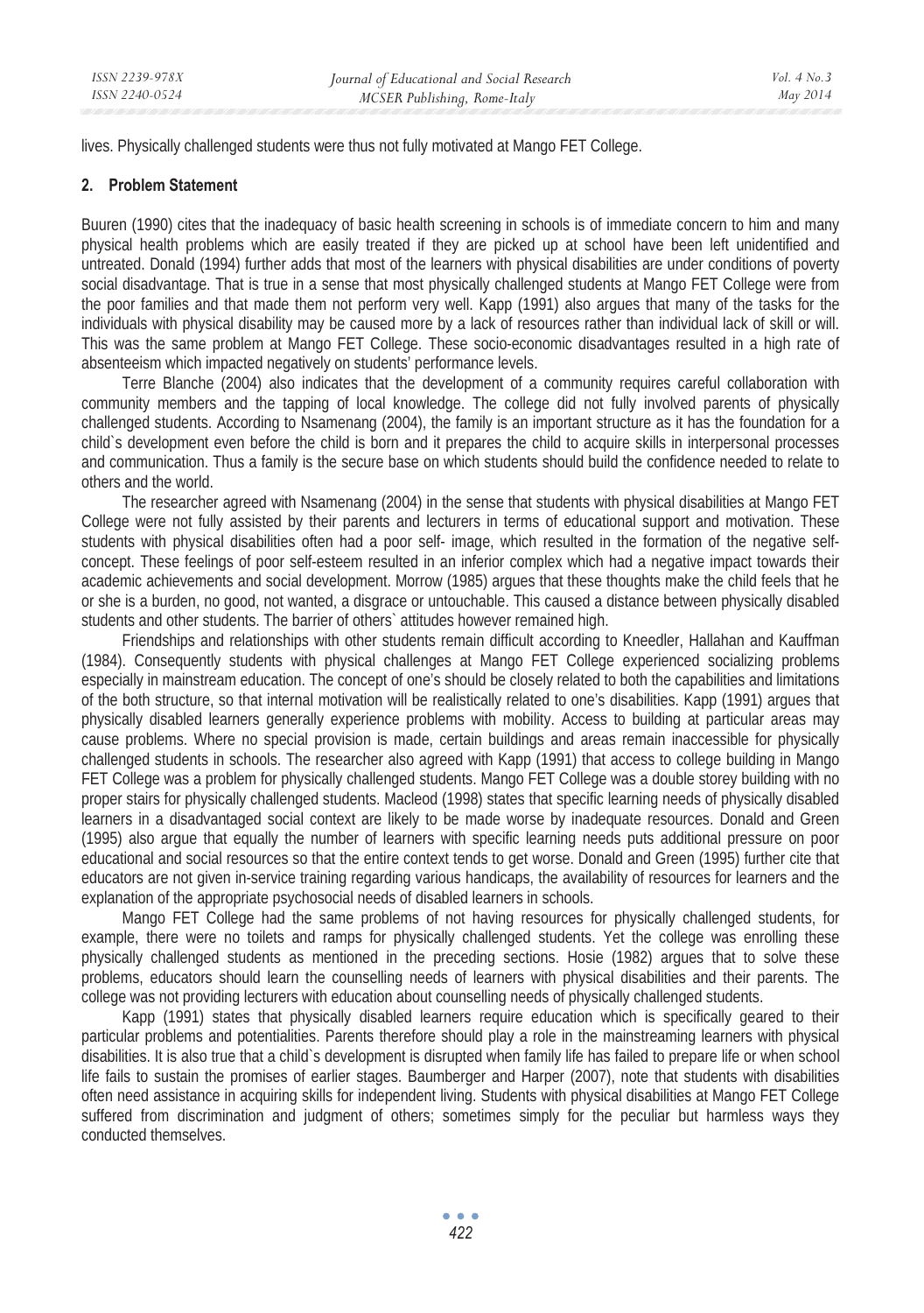lives. Physically challenged students were thus not fully motivated at Mango FET College.

### **2. Problem Statement**

Buuren (1990) cites that the inadequacy of basic health screening in schools is of immediate concern to him and many physical health problems which are easily treated if they are picked up at school have been left unidentified and untreated. Donald (1994) further adds that most of the learners with physical disabilities are under conditions of poverty social disadvantage. That is true in a sense that most physically challenged students at Mango FET College were from the poor families and that made them not perform very well. Kapp (1991) also argues that many of the tasks for the individuals with physical disability may be caused more by a lack of resources rather than individual lack of skill or will. This was the same problem at Mango FET College. These socio-economic disadvantages resulted in a high rate of absenteeism which impacted negatively on students' performance levels.

Terre Blanche (2004) also indicates that the development of a community requires careful collaboration with community members and the tapping of local knowledge. The college did not fully involved parents of physically challenged students. According to Nsamenang (2004), the family is an important structure as it has the foundation for a child`s development even before the child is born and it prepares the child to acquire skills in interpersonal processes and communication. Thus a family is the secure base on which students should build the confidence needed to relate to others and the world.

The researcher agreed with Nsamenang (2004) in the sense that students with physical disabilities at Mango FET College were not fully assisted by their parents and lecturers in terms of educational support and motivation. These students with physical disabilities often had a poor self- image, which resulted in the formation of the negative selfconcept. These feelings of poor self-esteem resulted in an inferior complex which had a negative impact towards their academic achievements and social development. Morrow (1985) argues that these thoughts make the child feels that he or she is a burden, no good, not wanted, a disgrace or untouchable. This caused a distance between physically disabled students and other students. The barrier of others` attitudes however remained high.

Friendships and relationships with other students remain difficult according to Kneedler, Hallahan and Kauffman (1984). Consequently students with physical challenges at Mango FET College experienced socializing problems especially in mainstream education. The concept of one's should be closely related to both the capabilities and limitations of the both structure, so that internal motivation will be realistically related to one's disabilities. Kapp (1991) argues that physically disabled learners generally experience problems with mobility. Access to building at particular areas may cause problems. Where no special provision is made, certain buildings and areas remain inaccessible for physically challenged students in schools. The researcher also agreed with Kapp (1991) that access to college building in Mango FET College was a problem for physically challenged students. Mango FET College was a double storey building with no proper stairs for physically challenged students. Macleod (1998) states that specific learning needs of physically disabled learners in a disadvantaged social context are likely to be made worse by inadequate resources. Donald and Green (1995) also argue that equally the number of learners with specific learning needs puts additional pressure on poor educational and social resources so that the entire context tends to get worse. Donald and Green (1995) further cite that educators are not given in-service training regarding various handicaps, the availability of resources for learners and the explanation of the appropriate psychosocial needs of disabled learners in schools.

Mango FET College had the same problems of not having resources for physically challenged students, for example, there were no toilets and ramps for physically challenged students. Yet the college was enrolling these physically challenged students as mentioned in the preceding sections. Hosie (1982) argues that to solve these problems, educators should learn the counselling needs of learners with physical disabilities and their parents. The college was not providing lecturers with education about counselling needs of physically challenged students.

Kapp (1991) states that physically disabled learners require education which is specifically geared to their particular problems and potentialities. Parents therefore should play a role in the mainstreaming learners with physical disabilities. It is also true that a child`s development is disrupted when family life has failed to prepare life or when school life fails to sustain the promises of earlier stages. Baumberger and Harper (2007), note that students with disabilities often need assistance in acquiring skills for independent living. Students with physical disabilities at Mango FET College suffered from discrimination and judgment of others; sometimes simply for the peculiar but harmless ways they conducted themselves.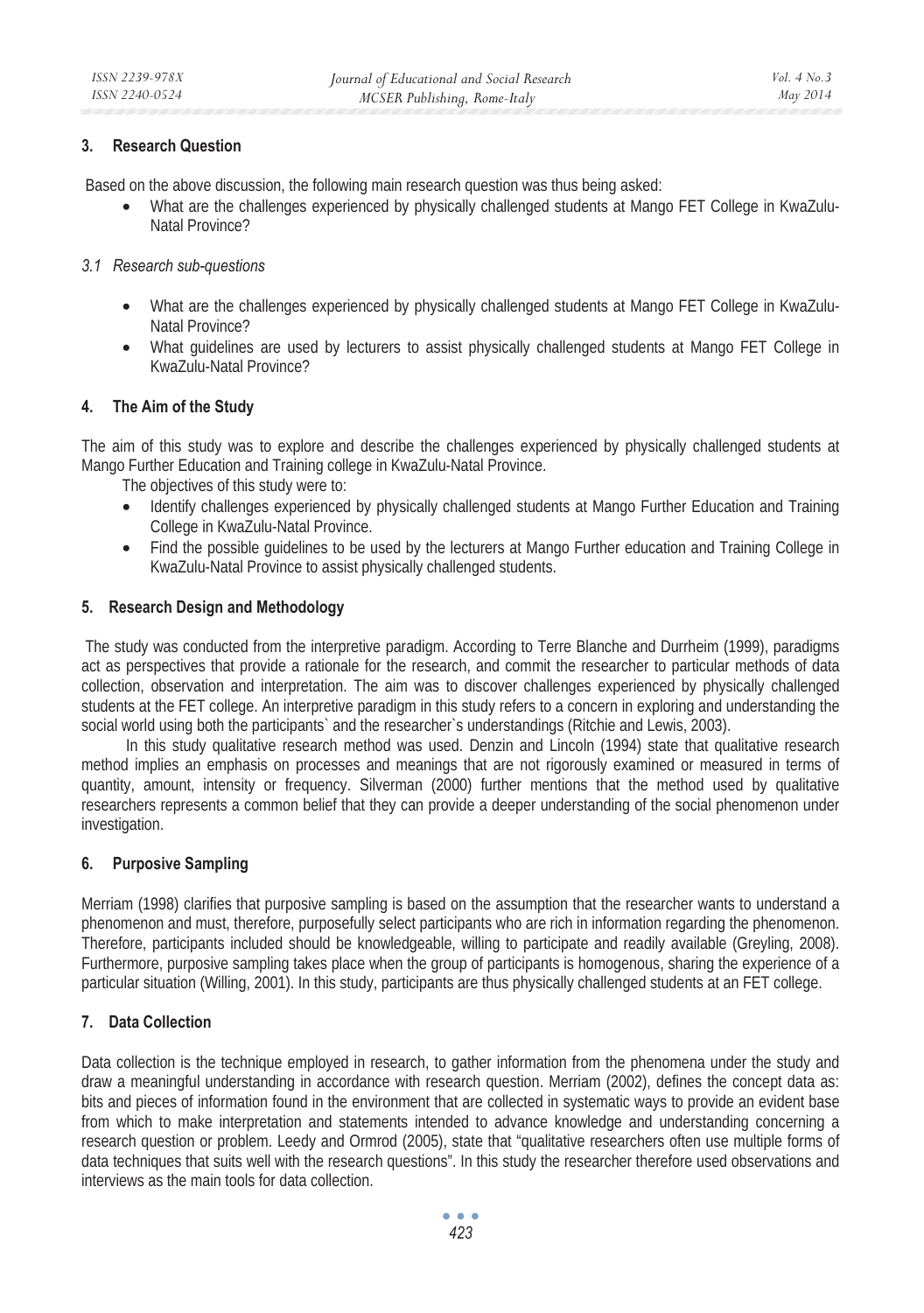## **3. Research Question**

Based on the above discussion, the following main research question was thus being asked:

• What are the challenges experienced by physically challenged students at Mango FET College in KwaZulu-Natal Province?

# *3.1 Research sub-questions*

- What are the challenges experienced by physically challenged students at Mango FET College in KwaZulu-Natal Province?
- What guidelines are used by lecturers to assist physically challenged students at Mango FET College in KwaZulu-Natal Province?

# **4. The Aim of the Study**

The aim of this study was to explore and describe the challenges experienced by physically challenged students at Mango Further Education and Training college in KwaZulu-Natal Province.

The objectives of this study were to:

- Identify challenges experienced by physically challenged students at Mango Further Education and Training College in KwaZulu-Natal Province.
- Find the possible guidelines to be used by the lecturers at Mango Further education and Training College in KwaZulu-Natal Province to assist physically challenged students.

# **5. Research Design and Methodology**

The study was conducted from the interpretive paradigm. According to Terre Blanche and Durrheim (1999), paradigms act as perspectives that provide a rationale for the research, and commit the researcher to particular methods of data collection, observation and interpretation. The aim was to discover challenges experienced by physically challenged students at the FET college. An interpretive paradigm in this study refers to a concern in exploring and understanding the social world using both the participants` and the researcher`s understandings (Ritchie and Lewis, 2003).

 In this study qualitative research method was used. Denzin and Lincoln (1994) state that qualitative research method implies an emphasis on processes and meanings that are not rigorously examined or measured in terms of quantity, amount, intensity or frequency. Silverman (2000) further mentions that the method used by qualitative researchers represents a common belief that they can provide a deeper understanding of the social phenomenon under investigation.

# **6. Purposive Sampling**

Merriam (1998) clarifies that purposive sampling is based on the assumption that the researcher wants to understand a phenomenon and must, therefore, purposefully select participants who are rich in information regarding the phenomenon. Therefore, participants included should be knowledgeable, willing to participate and readily available (Greyling, 2008). Furthermore, purposive sampling takes place when the group of participants is homogenous, sharing the experience of a particular situation (Willing, 2001). In this study, participants are thus physically challenged students at an FET college.

# **7. Data Collection**

Data collection is the technique employed in research, to gather information from the phenomena under the study and draw a meaningful understanding in accordance with research question. Merriam (2002), defines the concept data as: bits and pieces of information found in the environment that are collected in systematic ways to provide an evident base from which to make interpretation and statements intended to advance knowledge and understanding concerning a research question or problem. Leedy and Ormrod (2005), state that "qualitative researchers often use multiple forms of data techniques that suits well with the research questions". In this study the researcher therefore used observations and interviews as the main tools for data collection.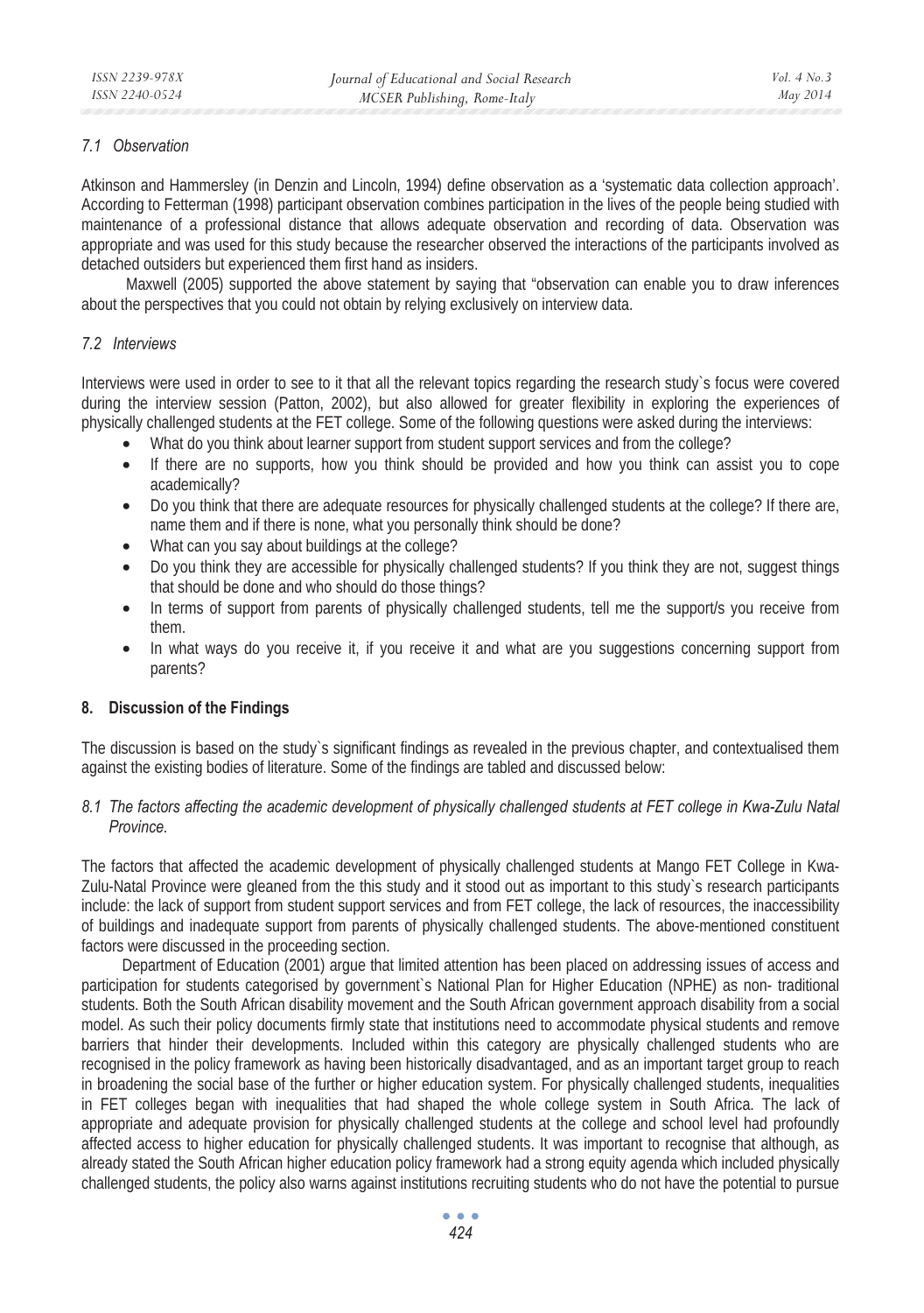# *7.1 Observation*

Atkinson and Hammersley (in Denzin and Lincoln, 1994) define observation as a 'systematic data collection approach'. According to Fetterman (1998) participant observation combines participation in the lives of the people being studied with maintenance of a professional distance that allows adequate observation and recording of data. Observation was appropriate and was used for this study because the researcher observed the interactions of the participants involved as detached outsiders but experienced them first hand as insiders.

 Maxwell (2005) supported the above statement by saying that "observation can enable you to draw inferences about the perspectives that you could not obtain by relying exclusively on interview data.

# *7.2 Interviews*

Interviews were used in order to see to it that all the relevant topics regarding the research study`s focus were covered during the interview session (Patton, 2002), but also allowed for greater flexibility in exploring the experiences of physically challenged students at the FET college. Some of the following questions were asked during the interviews:

- What do you think about learner support from student support services and from the college?
- If there are no supports, how you think should be provided and how you think can assist you to cope academically?
- Do you think that there are adequate resources for physically challenged students at the college? If there are, name them and if there is none, what you personally think should be done?
- What can you say about buildings at the college?
- Do you think they are accessible for physically challenged students? If you think they are not, suggest things that should be done and who should do those things?
- In terms of support from parents of physically challenged students, tell me the support/s you receive from them.
- In what ways do you receive it, if you receive it and what are you suggestions concerning support from parents?

### **8. Discussion of the Findings**

The discussion is based on the study`s significant findings as revealed in the previous chapter, and contextualised them against the existing bodies of literature. Some of the findings are tabled and discussed below:

# *8.1 The factors affecting the academic development of physically challenged students at FET college in Kwa-Zulu Natal Province.*

The factors that affected the academic development of physically challenged students at Mango FET College in Kwa-Zulu-Natal Province were gleaned from the this study and it stood out as important to this study`s research participants include: the lack of support from student support services and from FET college, the lack of resources, the inaccessibility of buildings and inadequate support from parents of physically challenged students. The above-mentioned constituent factors were discussed in the proceeding section.

Department of Education (2001) argue that limited attention has been placed on addressing issues of access and participation for students categorised by government's National Plan for Higher Education (NPHE) as non- traditional students. Both the South African disability movement and the South African government approach disability from a social model. As such their policy documents firmly state that institutions need to accommodate physical students and remove barriers that hinder their developments. Included within this category are physically challenged students who are recognised in the policy framework as having been historically disadvantaged, and as an important target group to reach in broadening the social base of the further or higher education system. For physically challenged students, inequalities in FET colleges began with inequalities that had shaped the whole college system in South Africa. The lack of appropriate and adequate provision for physically challenged students at the college and school level had profoundly affected access to higher education for physically challenged students. It was important to recognise that although, as already stated the South African higher education policy framework had a strong equity agenda which included physically challenged students, the policy also warns against institutions recruiting students who do not have the potential to pursue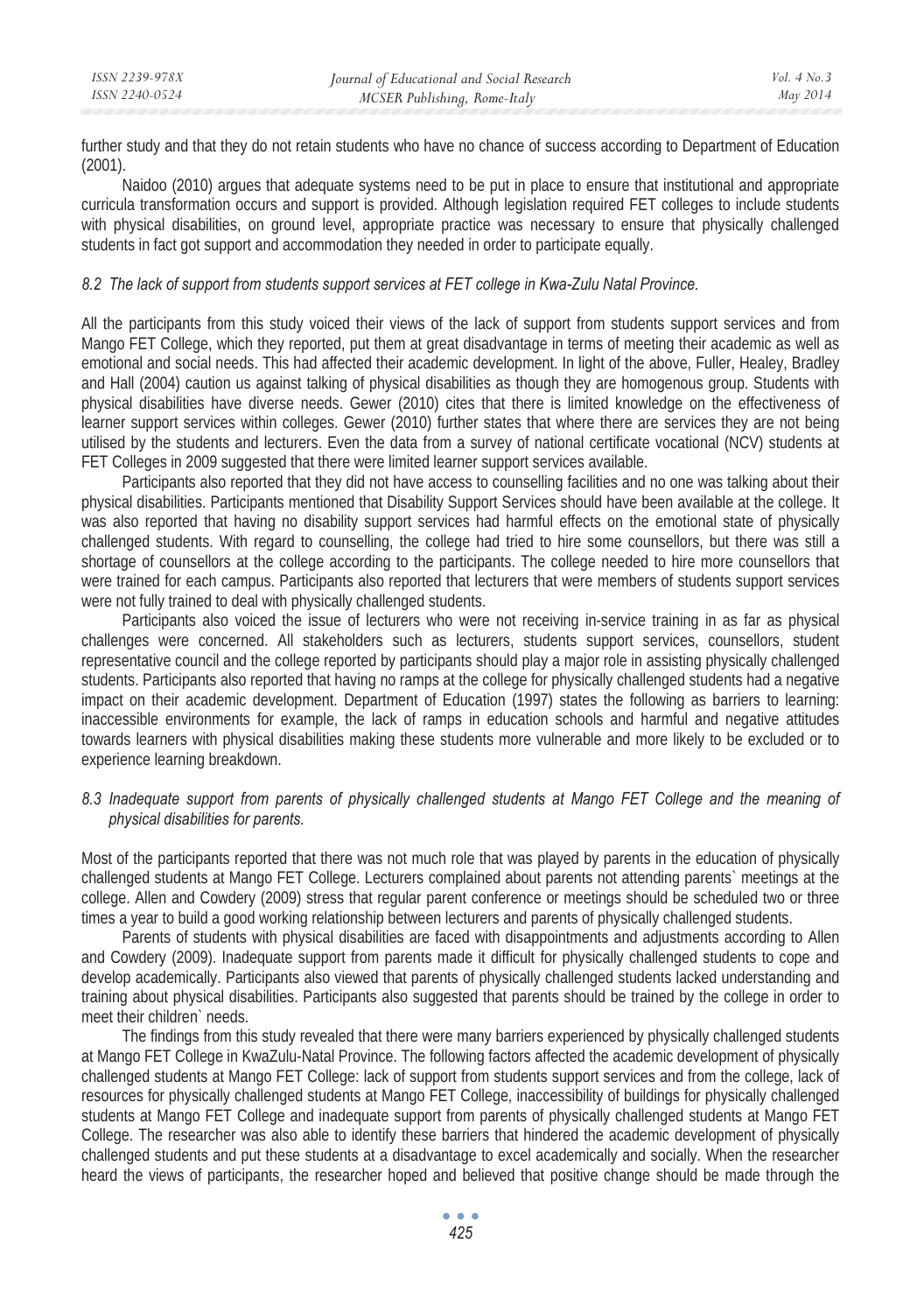further study and that they do not retain students who have no chance of success according to Department of Education  $(2001)$ .

Naidoo (2010) argues that adequate systems need to be put in place to ensure that institutional and appropriate curricula transformation occurs and support is provided. Although legislation required FET colleges to include students with physical disabilities, on ground level, appropriate practice was necessary to ensure that physically challenged students in fact got support and accommodation they needed in order to participate equally.

### *8.2 The lack of support from students support services at FET college in Kwa-Zulu Natal Province.*

All the participants from this study voiced their views of the lack of support from students support services and from Mango FET College, which they reported, put them at great disadvantage in terms of meeting their academic as well as emotional and social needs. This had affected their academic development. In light of the above, Fuller, Healey, Bradley and Hall (2004) caution us against talking of physical disabilities as though they are homogenous group. Students with physical disabilities have diverse needs. Gewer (2010) cites that there is limited knowledge on the effectiveness of learner support services within colleges. Gewer (2010) further states that where there are services they are not being utilised by the students and lecturers. Even the data from a survey of national certificate vocational (NCV) students at FET Colleges in 2009 suggested that there were limited learner support services available.

Participants also reported that they did not have access to counselling facilities and no one was talking about their physical disabilities. Participants mentioned that Disability Support Services should have been available at the college. It was also reported that having no disability support services had harmful effects on the emotional state of physically challenged students. With regard to counselling, the college had tried to hire some counsellors, but there was still a shortage of counsellors at the college according to the participants. The college needed to hire more counsellors that were trained for each campus. Participants also reported that lecturers that were members of students support services were not fully trained to deal with physically challenged students.

Participants also voiced the issue of lecturers who were not receiving in-service training in as far as physical challenges were concerned. All stakeholders such as lecturers, students support services, counsellors, student representative council and the college reported by participants should play a major role in assisting physically challenged students. Participants also reported that having no ramps at the college for physically challenged students had a negative impact on their academic development. Department of Education (1997) states the following as barriers to learning: inaccessible environments for example, the lack of ramps in education schools and harmful and negative attitudes towards learners with physical disabilities making these students more vulnerable and more likely to be excluded or to experience learning breakdown.

# *8.3 Inadequate support from parents of physically challenged students at Mango FET College and the meaning of physical disabilities for parents.*

Most of the participants reported that there was not much role that was played by parents in the education of physically challenged students at Mango FET College. Lecturers complained about parents not attending parents` meetings at the college. Allen and Cowdery (2009) stress that regular parent conference or meetings should be scheduled two or three times a year to build a good working relationship between lecturers and parents of physically challenged students.

Parents of students with physical disabilities are faced with disappointments and adjustments according to Allen and Cowdery (2009). Inadequate support from parents made it difficult for physically challenged students to cope and develop academically. Participants also viewed that parents of physically challenged students lacked understanding and training about physical disabilities. Participants also suggested that parents should be trained by the college in order to meet their children` needs.

The findings from this study revealed that there were many barriers experienced by physically challenged students at Mango FET College in KwaZulu-Natal Province. The following factors affected the academic development of physically challenged students at Mango FET College: lack of support from students support services and from the college, lack of resources for physically challenged students at Mango FET College, inaccessibility of buildings for physically challenged students at Mango FET College and inadequate support from parents of physically challenged students at Mango FET College. The researcher was also able to identify these barriers that hindered the academic development of physically challenged students and put these students at a disadvantage to excel academically and socially. When the researcher heard the views of participants, the researcher hoped and believed that positive change should be made through the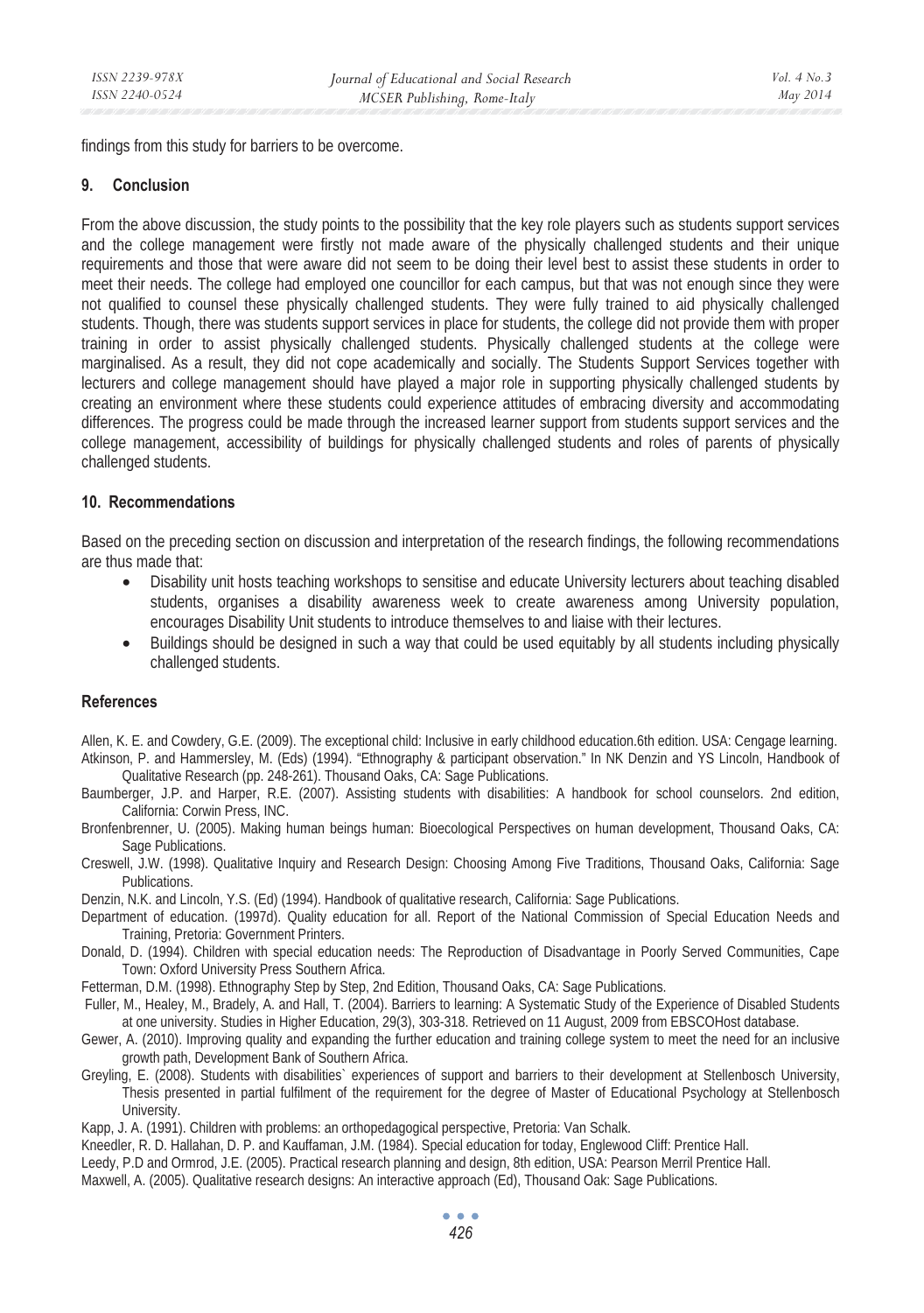findings from this study for barriers to be overcome.

#### **9. Conclusion**

From the above discussion, the study points to the possibility that the key role players such as students support services and the college management were firstly not made aware of the physically challenged students and their unique requirements and those that were aware did not seem to be doing their level best to assist these students in order to meet their needs. The college had employed one councillor for each campus, but that was not enough since they were not qualified to counsel these physically challenged students. They were fully trained to aid physically challenged students. Though, there was students support services in place for students, the college did not provide them with proper training in order to assist physically challenged students. Physically challenged students at the college were marginalised. As a result, they did not cope academically and socially. The Students Support Services together with lecturers and college management should have played a major role in supporting physically challenged students by creating an environment where these students could experience attitudes of embracing diversity and accommodating differences. The progress could be made through the increased learner support from students support services and the college management, accessibility of buildings for physically challenged students and roles of parents of physically challenged students.

### **10. Recommendations**

Based on the preceding section on discussion and interpretation of the research findings, the following recommendations are thus made that:

- Disability unit hosts teaching workshops to sensitise and educate University lecturers about teaching disabled students, organises a disability awareness week to create awareness among University population, encourages Disability Unit students to introduce themselves to and liaise with their lectures.
- Buildings should be designed in such a way that could be used equitably by all students including physically challenged students.

### **References**

Allen, K. E. and Cowdery, G.E. (2009). The exceptional child: Inclusive in early childhood education.6th edition. USA: Cengage learning. Atkinson, P. and Hammersley, M. (Eds) (1994). "Ethnography & participant observation." In NK Denzin and YS Lincoln, Handbook of Qualitative Research (pp. 248-261). Thousand Oaks, CA: Sage Publications.

Baumberger, J.P. and Harper, R.E. (2007). Assisting students with disabilities: A handbook for school counselors. 2nd edition, California: Corwin Press, INC.

Bronfenbrenner, U. (2005). Making human beings human: Bioecological Perspectives on human development, Thousand Oaks, CA: Sage Publications.

Creswell, J.W. (1998). Qualitative Inquiry and Research Design: Choosing Among Five Traditions, Thousand Oaks, California: Sage Publications.

Denzin, N.K. and Lincoln, Y.S. (Ed) (1994). Handbook of qualitative research, California: Sage Publications.

- Department of education. (1997d). Quality education for all. Report of the National Commission of Special Education Needs and Training, Pretoria: Government Printers.
- Donald, D. (1994). Children with special education needs: The Reproduction of Disadvantage in Poorly Served Communities, Cape Town: Oxford University Press Southern Africa.

Fetterman, D.M. (1998). Ethnography Step by Step, 2nd Edition, Thousand Oaks, CA: Sage Publications.

- Fuller, M., Healey, M., Bradely, A. and Hall, T. (2004). Barriers to learning: A Systematic Study of the Experience of Disabled Students at one university. Studies in Higher Education, 29(3), 303-318. Retrieved on 11 August, 2009 from EBSCOHost database.
- Gewer, A. (2010). Improving quality and expanding the further education and training college system to meet the need for an inclusive growth path, Development Bank of Southern Africa.
- Greyling, E. (2008). Students with disabilities` experiences of support and barriers to their development at Stellenbosch University, Thesis presented in partial fulfilment of the requirement for the degree of Master of Educational Psychology at Stellenbosch University.

Kapp, J. A. (1991). Children with problems: an orthopedagogical perspective, Pretoria: Van Schalk.

Kneedler, R. D. Hallahan, D. P. and Kauffaman, J.M. (1984). Special education for today, Englewood Cliff: Prentice Hall. Leedy, P.D and Ormrod, J.E. (2005). Practical research planning and design, 8th edition, USA: Pearson Merril Prentice Hall. Maxwell, A. (2005). Qualitative research designs: An interactive approach (Ed), Thousand Oak: Sage Publications.